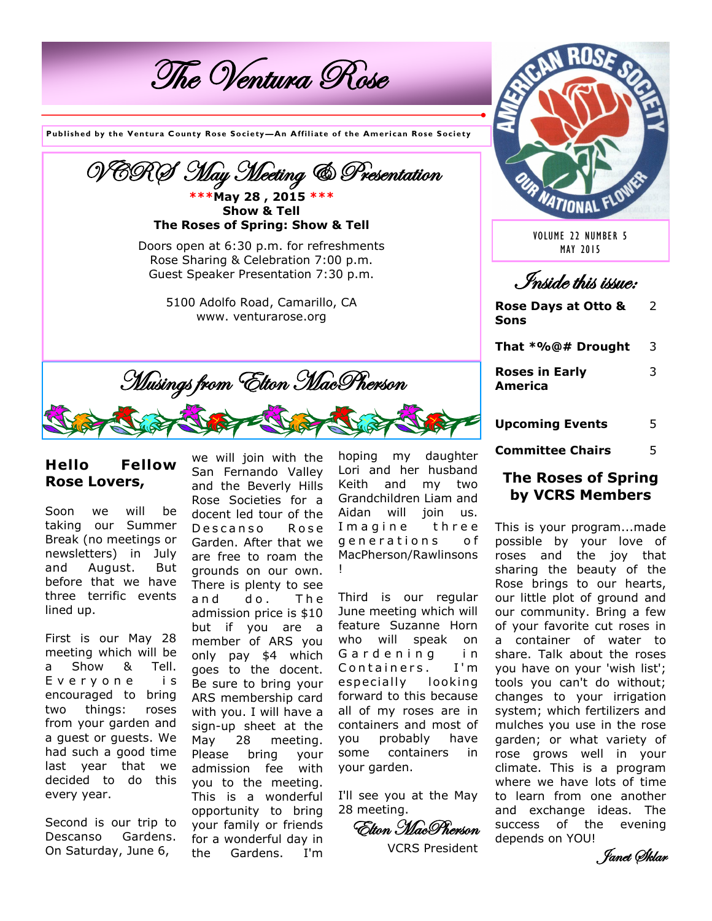The Ventura Rose

**Published by the Ventura County Rose Society —An Affiliate of the American Rose Society**



### **Hello Fellow Rose Lovers,**

Soon we will be taking our Summer Break (no meetings or newsletters) in July and August. But before that we have three terrific events lined up.

First is our May 28 meeting which will be a Show & Tell. E v e r y o n e i s encouraged to bring two things: roses from your garden and a guest or guests. We had such a good time last year that we decided to do this every year.

Second is our trip to Descanso Gardens. On Saturday, June 6,

we will join with the San Fernando Valley and the Beverly Hills Rose Societies for a docent led tour of the Descanso Rose Garden. After that we are free to roam the grounds on our own. There is plenty to see and do. The admission price is \$10 but if you are a member of ARS you only pay \$4 which goes to the docent. Be sure to bring your ARS membership card with you. I will have a sign-up sheet at the May 28 meeting. Please bring your admission fee with you to the meeting. This is a wonderful opportunity to bring your family or friends for a wonderful day in the Gardens. I'm

hoping my daughter Lori and her husband Keith and my two Grandchildren Liam and Aidan will join us. I magine three generations of MacPherson/Rawlinsons !

Third is our regular June meeting which will feature Suzanne Horn who will speak on Gardening in Containers. I'm especially looking forward to this because all of my roses are in containers and most of you probably have some containers in your garden.

I'll see you at the May 28 meeting.

Elton MacPherson

VCRS President



VOLUME 22 NUMBER 5 MAY 2015

Inside this issue:

**Rose Days at Otto & Sons** 2

**That \*%@# Drought** 3

**Roses in Early America**  3

- **Upcoming Events** 5
- **Committee Chairs** 5

#### **The Roses of Spring by VCRS Members**

This is your program...made possible by your love of roses and the joy that sharing the beauty of the Rose brings to our hearts, our little plot of ground and our community. Bring a few of your favorite cut roses in a container of water to share. Talk about the roses you have on your 'wish list'; tools you can't do without; changes to your irrigation system; which fertilizers and mulches you use in the rose garden; or what variety of rose grows well in your climate. This is a program where we have lots of time to learn from one another and exchange ideas. The success of the evening depends on YOU!

Janet Sklar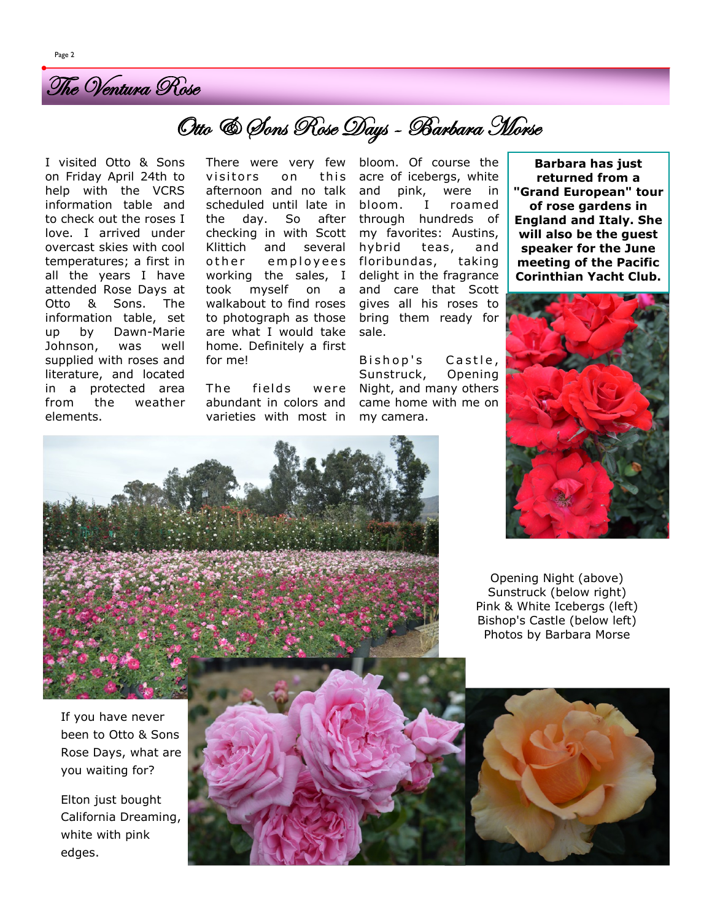

# Otto & Sons Rose Days - Barbara Morse

I visited Otto & Sons on Friday April 24th to help with the VCRS information table and to check out the roses I love. I arrived under overcast skies with cool temperatures; a first in all the years I have attended Rose Days at Otto & Sons. The information table, set up by Dawn-Marie Johnson, was well supplied with roses and literature, and located in a protected area from the weather elements.

There were very few visitors on this afternoon and no talk scheduled until late in the day. So after checking in with Scott Klittich and several o ther employees working the sales, I took myself on a walkabout to find roses to photograph as those are what I would take home. Definitely a first for me!

The fields were abundant in colors and varieties with most in bloom. Of course the acre of icebergs, white and pink, were in bloom. I roamed through hundreds of my favorites: Austins, hybrid teas, and floribundas, taking delight in the fragrance and care that Scott gives all his roses to bring them ready for sale.

Bishop's Castle, Sunstruck, Opening Night, and many others came home with me on my camera.

**Barbara has just returned from a "Grand European" tour of rose gardens in England and Italy. She will also be the guest speaker for the June meeting of the Pacific Corinthian Yacht Club.**





Opening Night (above) Sunstruck (below right) Pink & White Icebergs (left) Bishop's Castle (below left) Photos by Barbara Morse



If you have never been to Otto & Sons Rose Days, what are you waiting for?

Elton just bought California Dreaming, white with pink edges.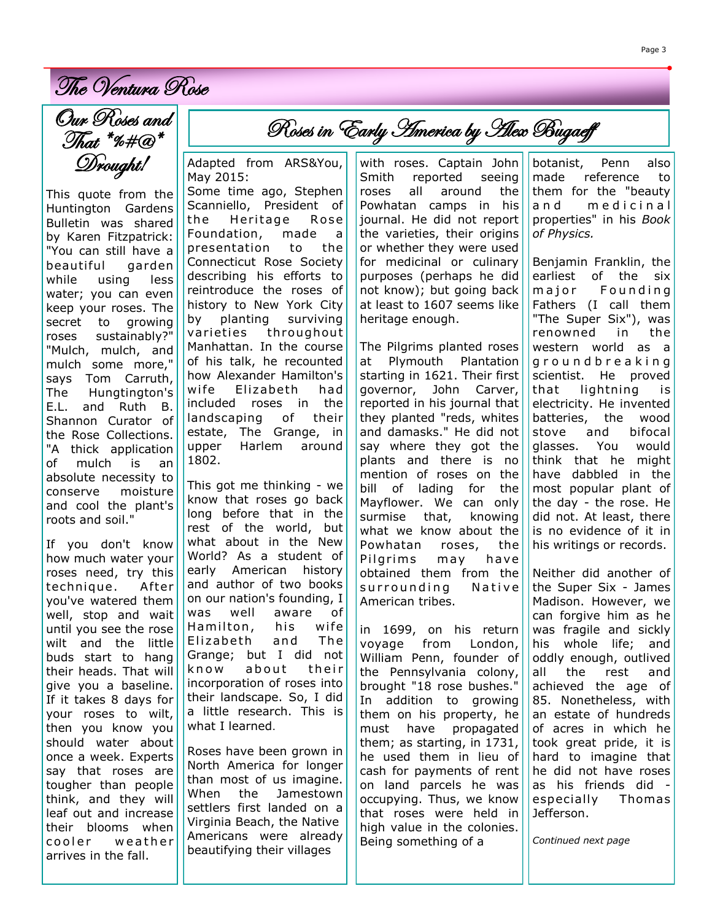The Ventura Rose

Our Roses and That \*%#@\* Drought!

This quote from the Huntington Gardens Bulletin was shared by Karen Fitzpatrick: "You can still have a beautiful garden while using less water; you can even keep your roses. The secret to growing roses sustainably?" "Mulch, mulch, and mulch some more," says Tom Carruth, The Hungtington's E.L. and Ruth B. Shannon Curator of the Rose Collections. "A thick application of mulch is an absolute necessity to conserve moisture and cool the plant's roots and soil."

If you don't know how much water your roses need, try this technique. After you've watered them well, stop and wait until you see the rose wilt and the little buds start to hang their heads. That will give you a baseline. If it takes 8 days for your roses to wilt, then you know you should water about once a week. Experts say that roses are tougher than people think, and they will leaf out and increase their blooms when cooler weather arrives in the fall.

Adapted from ARS&You, May 2015:

Some time ago, Stephen Scanniello, President of the Heritage Rose Foundation, made a presentation to the Connecticut Rose Society describing his efforts to reintroduce the roses of history to New York City by planting surviving varieties throughout Manhattan. In the course of his talk, he recounted how Alexander Hamilton's wife Elizabeth had included roses in the landscaping of their estate, The Grange, in upper Harlem around 1802.

This got me thinking - we know that roses go back long before that in the rest of the world, but what about in the New World? As a student of early American history and author of two books on our nation's founding, I was well aware of Hamilton, his wife Elizabeth and The Grange; but I did not know about their incorporation of roses into their landscape. So, I did a little research. This is what I learned.

Roses have been grown in North America for longer than most of us imagine. When the Jamestown settlers first landed on a Virginia Beach, the Native Americans were already beautifying their villages

with roses. Captain John Smith reported seeing roses all around the Powhatan camps in his journal. He did not report the varieties, their origins or whether they were used for medicinal or culinary purposes (perhaps he did not know); but going back at least to 1607 seems like heritage enough.

Roses in Early *America by Alex Bugaeff* 

The Pilgrims planted roses at Plymouth Plantation starting in 1621. Their first governor, John Carver, reported in his journal that they planted "reds, whites and damasks." He did not say where they got the plants and there is no mention of roses on the bill of lading for the Mayflower. We can only surmise that, knowing what we know about the Powhatan roses, the Pilgrims may have obtained them from the surrounding Native American tribes.

in 1699, on his return voyage from London, William Penn, founder of the Pennsylvania colony, brought "18 rose bushes." In addition to growing them on his property, he must have propagated them; as starting, in 1731, he used them in lieu of cash for payments of rent on land parcels he was occupying. Thus, we know that roses were held in high value in the colonies. Being something of a

botanist, Penn also made reference to them for the "beauty and medicinal properties" in his *Book of Physics.*

Benjamin Franklin, the earliest of the six major Founding Fathers (I call them "The Super Six"), was renowned in the western world as a g r o u n d b r e a k i n g scientist. He proved that lightning is electricity. He invented batteries, the wood stove and bifocal glasses. You would think that he might have dabbled in the most popular plant of the day - the rose. He did not. At least, there is no evidence of it in his writings or records.

Neither did another of the Super Six - James Madison. However, we can forgive him as he was fragile and sickly his whole life; and oddly enough, outlived all the rest and achieved the age of 85. Nonetheless, with an estate of hundreds of acres in which he took great pride, it is hard to imagine that he did not have roses as his friends did especially Thomas Jefferson.

*Continued next page*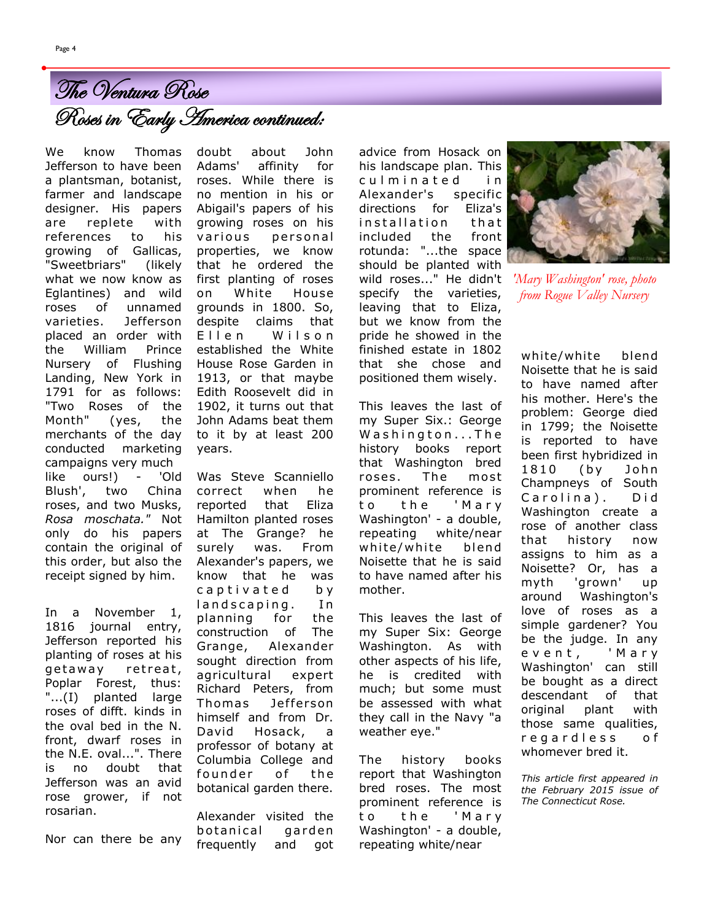We know Thomas Jefferson to have been a plantsman, botanist, Roses in Early America continued: The Ventura Rose

farmer and landscape designer. His papers are replete with references to his growing of Gallicas, "Sweetbriars" (likely what we now know as Eglantines) and wild roses of unnamed varieties. Jefferson placed an order with the William Prince Nursery of Flushing Landing, New York in 1791 for as follows: "Two Roses of the Month" (yes, the merchants of the day conducted marketing campaigns very much like ours!) - 'Old Blush', two China roses, and two Musks, *Rosa moschata."* Not only do his papers contain the original of this order, but also the receipt signed by him.

In a November 1, 1816 journal entry, Jefferson reported his planting of roses at his getaway retreat, Poplar Forest, thus: "...(I) planted large roses of difft. kinds in the oval bed in the N. front, dwarf roses in the N.E. oval...". There is no doubt that Jefferson was an avid rose grower, if not rosarian.

Nor can there be any

doubt about John Adams' affinity for roses. While there is no mention in his or Abigail's papers of his growing roses on his various personal properties, we know that he ordered the first planting of roses on White House grounds in 1800. So, despite claims that Ellen Wilson established the White House Rose Garden in 1913, or that maybe Edith Roosevelt did in 1902, it turns out that John Adams beat them to it by at least 200 years.

Was Steve Scanniello correct when he reported that Eliza Hamilton planted roses at The Grange? he surely was. From Alexander's papers, we know that he was captivated by landscaping. In planning for the construction of The Grange, Alexander sought direction from agricultural expert Richard Peters, from Thomas Jefferson himself and from Dr. David Hosack, a professor of botany at Columbia College and founder of the botanical garden there.

Alexander visited the botanical garden frequently and got

advice from Hosack on his landscape plan. This culminated in Alexander's specific directions for Eliza's installation that included the front rotunda: "...the space should be planted with wild roses..." He didn't specify the varieties, leaving that to Eliza, but we know from the pride he showed in the finished estate in 1802 that she chose and positioned them wisely.

This leaves the last of my Super Six.: George Washington...The history books report that Washington bred roses. The most prominent reference is to the 'Mary Washington' - a double, repeating white/near white/white blend Noisette that he is said to have named after his mother.

This leaves the last of my Super Six: George Washington. As with other aspects of his life, he is credited with much; but some must be assessed with what they call in the Navy "a weather eye."

The history books report that Washington bred roses. The most prominent reference is to the 'Marv Washington' - a double, repeating white/near



*'Mary Washington' rose, photo from Rogue Valley Nursery*

white/white blend Noisette that he is said to have named after his mother. Here's the problem: George died in 1799; the Noisette is reported to have been first hybridized in 1810 (by John Champneys of South Carolina). Did Washington create a rose of another class that history now assigns to him as a Noisette? Or, has a myth 'grown' up around Washington's love of roses as a simple gardener? You be the judge. In any e v e n t , ' M a r y Washington' can still be bought as a direct descendant of that original plant with those same qualities, r e g a r d l e s s o f whomever bred it.

*This article first appeared in the February 2015 issue of The Connecticut Rose.*